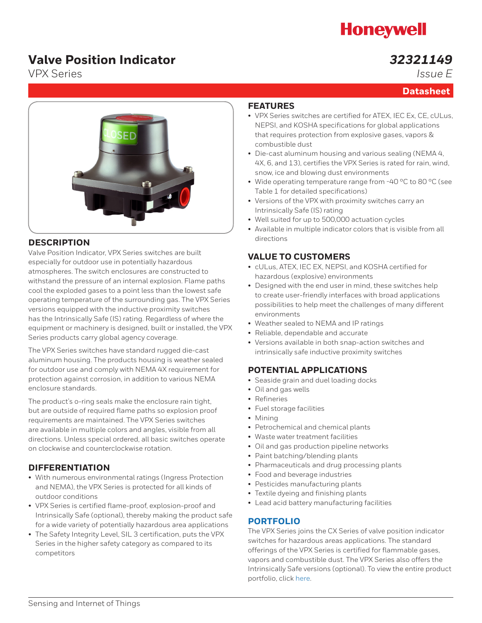# **Honeywell**

## **Valve Position Indicator**

### *32321149 Issue E*

**Datasheet**

VPX Series



### **DESCRIPTION**

Valve Position Indicator, VPX Series switches are built especially for outdoor use in potentially hazardous atmospheres. The switch enclosures are constructed to withstand the pressure of an internal explosion. Flame paths cool the exploded gases to a point less than the lowest safe operating temperature of the surrounding gas. The VPX Series versions equipped with the inductive proximity switches has the Intrinsically Safe (IS) rating. Regardless of where the equipment or machinery is designed, built or installed, the VPX Series products carry global agency coverage.

The VPX Series switches have standard rugged die-cast aluminum housing. The products housing is weather sealed for outdoor use and comply with NEMA 4X requirement for protection against corrosion, in addition to various NEMA enclosure standards.

The product's o-ring seals make the enclosure rain tight, but are outside of required flame paths so explosion proof requirements are maintained. The VPX Series switches are available in multiple colors and angles, visible from all directions. Unless special ordered, all basic switches operate on clockwise and counterclockwise rotation.

### **DIFFERENTIATION**

- With numerous environmental ratings (Ingress Protection and NEMA), the VPX Series is protected for all kinds of outdoor conditions
- VPX Series is certified flame-proof, explosion-proof and Intrinsically Safe (optional), thereby making the product safe for a wide variety of potentially hazardous area applications
- The Safety Integrity Level, SIL 3 certification, puts the VPX Series in the higher safety category as compared to its competitors

### **FEATURES**

- VPX Series switches are certified for ATEX, IEC Ex, CE, cULus, NEPSI, and KOSHA specifications for global applications that requires protection from explosive gases, vapors & combustible dust
- Die-cast aluminum housing and various sealing (NEMA 4, 4X, 6, and 13), certifies the VPX Series is rated for rain, wind, snow, ice and blowing dust environments
- Wide operating temperature range from -40 °C to 80 °C (see Table 1 for detailed specifications)
- Versions of the VPX with proximity switches carry an Intrinsically Safe (IS) rating
- Well suited for up to 500,000 actuation cycles
- Available in multiple indicator colors that is visible from all directions

### **VALUE TO CUSTOMERS**

- cULus, ATEX, IEC EX, NEPSI, and KOSHA certified for hazardous (explosive) environments
- Designed with the end user in mind, these switches help to create user-friendly interfaces with broad applications possibilities to help meet the challenges of many different environments
- Weather sealed to NEMA and IP ratings
- Reliable, dependable and accurate
- Versions available in both snap-action switches and intrinsically safe inductive proximity switches

### **POTENTIAL APPLICATIONS**

- Seaside grain and duel loading docks
- Oil and gas wells
- Refineries
- Fuel storage facilities
- Mining
- Petrochemical and chemical plants
- Waste water treatment facilities
- Oil and gas production pipeline networks
- Paint batching/blending plants
- Pharmaceuticals and drug processing plants
- Food and beverage industries
- Pesticides manufacturing plants
- Textile dyeing and finishing plants
- Lead acid battery manufacturing facilities

### **[PORTFOLIO](http://sensing.honeywell.com/products/pressure-switch?Ne=2308&N=3601)**

The VPX Series joins the CX Series of valve position indicator switches for hazardous areas applications. The standard offerings of the VPX Series is certified for flammable gases, vapors and combustible dust. The VPX Series also offers the Intrinsically Safe versions (optional). To view the entire product portfolio, click [here.](http://sensing.honeywell.com/products/limit-switch?Ne=3025&N=3555)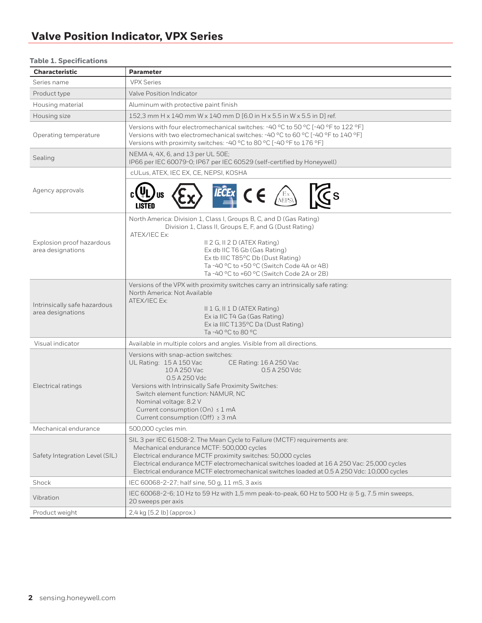#### **Table 1. Specifications**

| <b>Characteristic</b>                             | <b>Parameter</b>                                                                                                                                                                                                                                                                                                                                                                   |
|---------------------------------------------------|------------------------------------------------------------------------------------------------------------------------------------------------------------------------------------------------------------------------------------------------------------------------------------------------------------------------------------------------------------------------------------|
| Series name                                       | <b>VPX Series</b>                                                                                                                                                                                                                                                                                                                                                                  |
| Product type                                      | Valve Position Indicator                                                                                                                                                                                                                                                                                                                                                           |
| Housing material                                  | Aluminum with protective paint finish                                                                                                                                                                                                                                                                                                                                              |
| Housing size                                      | 152,3 mm H x 140 mm W x 140 mm D [6.0 in H x 5.5 in W x 5.5 in D] ref.                                                                                                                                                                                                                                                                                                             |
| Operating temperature                             | Versions with four electromechanical switches: -40 °C to 50 °C [-40 °F to 122 °F]<br>Versions with two electromechanical switches: -40 °C to 60 °C [-40 °F to 140 °F]<br>Versions with proximity switches: -40 °C to 80 °C [-40 °F to 176 °F]                                                                                                                                      |
| Sealing                                           | NEMA 4, 4X, 6, and 13 per UL 50E;<br>IP66 per IEC 60079-0; IP67 per IEC 60529 (self-certified by Honeywell)                                                                                                                                                                                                                                                                        |
|                                                   | cULus, ATEX, IEC EX, CE, NEPSI, KOSHA                                                                                                                                                                                                                                                                                                                                              |
| Agency approvals                                  | $\mathbb{K}$ s<br>$\epsilon$<br>$\sqrt{\frac{\mathrm{E_X}}{\mathrm{NEPS}}}$<br>LISTED                                                                                                                                                                                                                                                                                              |
| Explosion proof hazardous<br>area designations    | North America: Division 1, Class I, Groups B, C, and D (Gas Rating)<br>Division 1, Class II, Groups E, F, and G (Dust Rating)<br>ATEX/IEC Ex:<br>II 2 G, II 2 D (ATEX Rating)<br>Ex db IIC T6 Gb (Gas Rating)<br>Ex tb IIIC T85°C Db (Dust Rating)<br>Ta-40 °C to +50 °C (Switch Code 4A or 4B)<br>Ta-40 °C to +60 °C (Switch Code 2A or 2B)                                       |
| Intrinsically safe hazardous<br>area designations | Versions of the VPX with proximity switches carry an intrinsically safe rating:<br>North America: Not Available<br>ATEX/IEC Ex:<br>II 1 G, II 1 D (ATEX Rating)<br>Ex ia IIC T4 Ga (Gas Rating)<br>Ex ia IIIC T135°C Da (Dust Rating)<br>Ta-40 °C to 80 °C                                                                                                                         |
| Visual indicator                                  | Available in multiple colors and angles. Visible from all directions.                                                                                                                                                                                                                                                                                                              |
| Electrical ratings                                | Versions with snap-action switches:<br>UL Rating: 15 A 150 Vac<br>CE Rating: 16 A 250 Vac<br>10 A 250 Vac<br>0.5 A 250 Vdc<br>0.5 A 250 Vdc<br>Versions with Intrinsically Safe Proximity Switches:<br>Switch element function: NAMUR, NC<br>Nominal voltage: 8.2 V<br>Current consumption (On) ≤ 1 mA<br>Current consumption (Off) ≥ 3 mA                                         |
| Mechanical endurance                              | 500,000 cycles min.                                                                                                                                                                                                                                                                                                                                                                |
| Safety Integration Level (SIL)                    | SIL 3 per IEC 61508-2. The Mean Cycle to Failure (MCTF) requirements are:<br>Mechanical endurance MCTF: 500,000 cycles<br>Electrical endurance MCTF proximity switches: 50,000 cycles<br>Electrical endurance MCTF electromechanical switches loaded at 16 A 250 Vac: 25,000 cycles<br>Electrical endurance MCTF electromechanical switches loaded at 0.5 A 250 Vdc: 10,000 cycles |
| Shock                                             | IEC 60068-2-27; half sine, 50 g, 11 mS, 3 axis                                                                                                                                                                                                                                                                                                                                     |
| Vibration                                         | IEC 60068-2-6; 10 Hz to 59 Hz with 1,5 mm peak-to-peak, 60 Hz to 500 Hz @ 5 g, 7.5 min sweeps,<br>20 sweeps per axis                                                                                                                                                                                                                                                               |
| Product weight                                    | 2,4 kg [5.2 lb] (approx.)                                                                                                                                                                                                                                                                                                                                                          |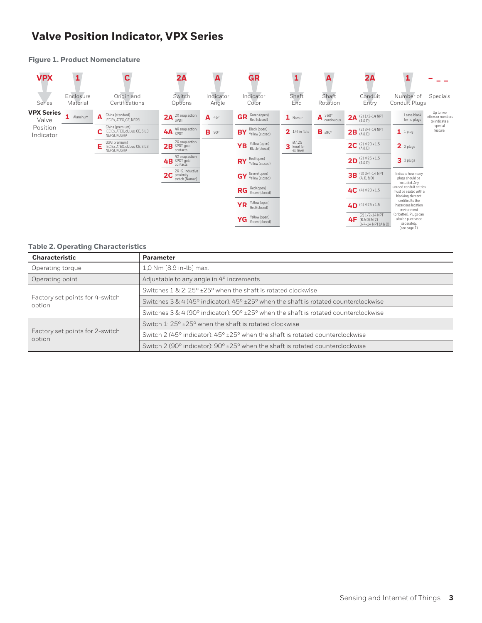| <b>VPX</b>                 |                       |                                                                      | 2A                                                  |                    | GR                                           |                                      | A                       | 2A                                                           |                                                                                      |                                                  |
|----------------------------|-----------------------|----------------------------------------------------------------------|-----------------------------------------------------|--------------------|----------------------------------------------|--------------------------------------|-------------------------|--------------------------------------------------------------|--------------------------------------------------------------------------------------|--------------------------------------------------|
| Series                     | Enclosure<br>Material | Origin and<br>Certifications                                         | Switch<br>Options                                   | Indicator<br>Angle | Indicator<br>Color                           | Shaft<br>End                         | Shaft<br>Rotation       | Conduit<br>Entry                                             | Number of<br>Conduit Plugs                                                           | Specials                                         |
| <b>VPX Series</b><br>Valve | 1 Aluminum            | China (standard)<br>A<br>IEC Ex, ATEX, CE, NEPSI                     | 2X snap action<br>2A<br>SPDT                        | A<br>45°           | Green (open)<br><b>GR</b><br>Red (closed)    | 1 Namur                              | 360°<br>A<br>continuous | $(2)$ $1/2 - 14$ NPT<br>2A<br>(A & D)                        | Leave blank<br>for no plugs                                                          | Up to two<br>letters or numbers<br>to indicate a |
| Position<br>Indicator      |                       | China (premium)<br>IEC Ex, ATEX, cULus, CE, SIL3,<br>NEPSI, KOSHA    | 4X snap action<br>4A SPDT                           | B<br>$90^{\circ}$  | Black (open)<br><b>BY</b><br>Yellow (closed) | $21/4$ in flats                      | $B \pm 90^\circ$        | $(2)$ 3/4-14 NPT<br>2B<br>(A & D)                            | 1<br>1 plug                                                                          | special<br>feature.                              |
|                            |                       | USA (premium)<br>E<br>IEC Ex, ATEX, cULus, CE, SIL3,<br>NEPSI, KOSHA | 2X snap action<br>2B SPDT, gold<br>contacts         |                    | Yellow (open)<br><b>YB</b><br>Black (closed) | 07.25<br>3<br>knurl for<br>ex. lever |                         | <b>2C</b> $(2)$ M20 x 1.5                                    | $2$ 2 plugs                                                                          |                                                  |
|                            |                       |                                                                      | 4X snap action<br>4B SPDT, gold<br>contacts         |                    | Red (open)<br><b>RY</b><br>Yellow (closed)   |                                      |                         | $(2)$ M25 x 1.5<br>2D<br>(A & D)                             | 3 3 plugs                                                                            |                                                  |
|                            |                       |                                                                      | 2X I.S. inductive<br>2C proximity<br>switch (Namur) |                    | GY Green (open)<br>Yellow (closed)           |                                      |                         | $(3)$ 3/4-14 NPT<br>3B<br>$(A, B, \& D)$                     | Indicate how many<br>plugs should be                                                 |                                                  |
|                            |                       |                                                                      |                                                     |                    | Red (open)<br><b>RG</b><br>Green (closed)    |                                      |                         | 4C (4) M20 x 1.5                                             | included. Any<br>unused conduit entries<br>must be sealed with a<br>blanking element |                                                  |
|                            |                       |                                                                      |                                                     |                    | Yellow (open)<br><b>YR</b><br>Red (closed)   |                                      |                         | $4D$ (4) M25 x 1.5                                           | certified to the<br>hazardous location<br>environment                                |                                                  |
|                            |                       |                                                                      |                                                     |                    | Yellow (open)<br>YG<br>Green (closed)        |                                      |                         | $(2)$ $1/2 - 14$ NPT<br>$4F$ (B&D)&(2)<br>3/4-14 NPT (A & D) | (or better). Plugs can<br>also be purchased<br>separately.<br>(see page 7).          |                                                  |

#### **Figure 1. Product Nomenclature**

#### **Table 2. Operating Characteristics**

| <b>Characteristic</b>                     | <b>Parameter</b>                                                                                                          |
|-------------------------------------------|---------------------------------------------------------------------------------------------------------------------------|
| Operating torque                          | 1.0 Nm [8.9 in-lb] max.                                                                                                   |
| Operating point                           | Adjustable to any angle in 4° increments                                                                                  |
|                                           | Switches $1 \& 2:25^{\circ}$ ±25° when the shaft is rotated clockwise                                                     |
| Factory set points for 4-switch<br>option | Switches $3 \& 4 (45^{\circ} \text{ indicator})$ : $45^{\circ} \pm 25^{\circ}$ when the shaft is rotated counterclockwise |
|                                           | Switches $3 \& 4$ (90° indicator): 90° $\pm 25$ ° when the shaft is rotated counterclockwise                              |
|                                           | Switch 1: $25^{\circ}$ +25 $^{\circ}$ when the shaft is rotated clockwise                                                 |
| Factory set points for 2-switch<br>option | Switch 2 (45° indicator): $45^{\circ}$ ±25° when the shaft is rotated counterclockwise                                    |
|                                           | Switch 2 (90 $^{\circ}$ indicator): 90 $^{\circ}$ ±25 $^{\circ}$ when the shaft is rotated counterclockwise               |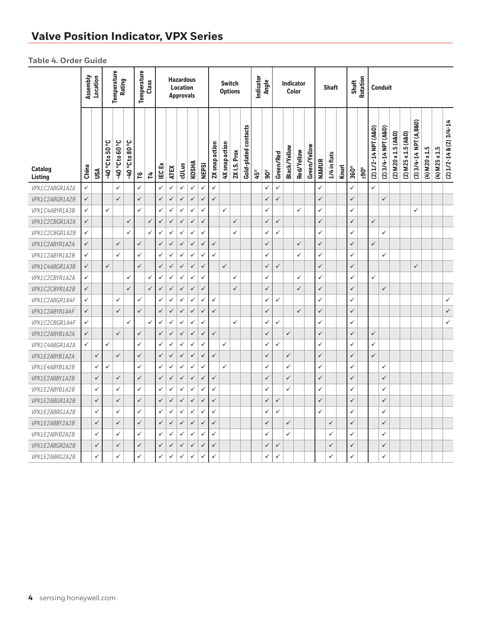#### **Table 4. Order Guide**

|                           | Assembly     | Location     |                        | Temperature<br>Rating  |                        | Temperature  | Class        |              |              | <b>Hazardous</b><br><b>Location</b><br><b>Approvals</b> |              |              |                |                | <b>Switch</b><br><b>Options</b> |                      | Indicator | Angle        |              | <b>Indicator</b> | Color        |              |              | <b>Shaft</b> |              | Shaft        | <b>Rotation</b> |                      | <b>Conduit</b>       |                     |                     |                         |                 |                 |                               |  |  |  |  |
|---------------------------|--------------|--------------|------------------------|------------------------|------------------------|--------------|--------------|--------------|--------------|---------------------------------------------------------|--------------|--------------|----------------|----------------|---------------------------------|----------------------|-----------|--------------|--------------|------------------|--------------|--------------|--------------|--------------|--------------|--------------|-----------------|----------------------|----------------------|---------------------|---------------------|-------------------------|-----------------|-----------------|-------------------------------|--|--|--|--|
| <b>Catalog</b><br>Listing | China        | USA          | <b>J. 05 01 J. 07-</b> | <b>J. 09 01 J. 07-</b> | <b>J. 08 01 J. 07-</b> | ٩            | 4            | <b>IECEX</b> | <b>ATEX</b>  | cULus                                                   | <b>KOSHA</b> | <b>NEPSI</b> | 2X snap action | 4X snap action | 2X <sub>1.S.</sub> Prox         | Gold-plated contacts | 45°       | $90^\circ$   | Green/Red    | Black/Yellow     | Red/Yellow   | Green/Yellow | <b>NAMUR</b> | 1/4 in flats | <b>Knurl</b> | 360°         | $+90^{\circ}$   | (2) 1/2-14 NPT (A&D) | (2) 3/4-14 NPT (A&D) | (2) M20 x 1.5 (A&D) | (2) M25 x 1.5 (A&D) | (3) 3/4-14 NPT (A, B&D) | $(4)$ M20 x 1.5 | $(4)$ M25 x 1.5 | $(2) 1/2 - 14 & (2) 3/4 - 14$ |  |  |  |  |
| VPX1C2ABGR1A2A            | $\checkmark$ |              |                        | ✓                      |                        | ✓            |              | ✓            | $\checkmark$ | $\checkmark$                                            | $\checkmark$ | ✓            | ✓              |                |                                 |                      |           | ✓            | ✓            |                  |              |              | ✓            |              |              | $\checkmark$ |                 | $\checkmark$         |                      |                     |                     |                         |                 |                 |                               |  |  |  |  |
| VPX1C2ABGR1A2B            | $\checkmark$ |              |                        | $\checkmark$           |                        | $\checkmark$ |              | $\checkmark$ | $\checkmark$ | $\checkmark$                                            | $\checkmark$ | $\checkmark$ | $\checkmark$   |                |                                 |                      |           | $\checkmark$ | $\checkmark$ |                  |              |              | $\checkmark$ |              |              | $\checkmark$ |                 |                      | $\checkmark$         |                     |                     |                         |                 |                 |                               |  |  |  |  |
| VPX1C4ABYR1A3B            | ✓            |              | $\checkmark$           |                        |                        | ✓            |              | ✓            | $\checkmark$ | ✓                                                       | $\checkmark$ | ✓            |                | $\checkmark$   |                                 |                      |           | $\checkmark$ |              |                  | ✓            |              | ✓            |              |              | $\checkmark$ |                 |                      |                      |                     |                     | $\checkmark$            |                 |                 |                               |  |  |  |  |
| VPX1C2CBGR1A2A            | $\checkmark$ |              |                        |                        | $\checkmark$           |              | $\checkmark$ | $\checkmark$ | $\checkmark$ | $\checkmark$                                            | $\checkmark$ | $\checkmark$ |                |                | $\checkmark$                    |                      |           | $\checkmark$ | $\checkmark$ |                  |              |              | $\checkmark$ |              |              | $\checkmark$ |                 | $\checkmark$         |                      |                     |                     |                         |                 |                 |                               |  |  |  |  |
| VPX1C2CBGR1A2B            | $\checkmark$ |              |                        |                        | ✓                      |              | ✓            | ✓            | ✓            | ✓                                                       | ✓            | ✓            |                |                | $\checkmark$                    |                      |           | ✓            | ✓            |                  |              |              | $\checkmark$ |              |              | $\checkmark$ |                 |                      | ✓                    |                     |                     |                         |                 |                 |                               |  |  |  |  |
| VPX1C2ABYR1A2A            | $\checkmark$ |              |                        | $\checkmark$           |                        | $\checkmark$ |              | $\checkmark$ | $\checkmark$ | $\checkmark$                                            | $\checkmark$ | $\checkmark$ | $\checkmark$   |                |                                 |                      |           | $\checkmark$ |              |                  | $\checkmark$ |              | $\checkmark$ |              |              | $\checkmark$ |                 | $\checkmark$         |                      |                     |                     |                         |                 |                 |                               |  |  |  |  |
| VPX1C2ABYR1A2B            | ✓            |              |                        | ✓                      |                        | ✓            |              | $\checkmark$ | $\checkmark$ | ✓                                                       | $\checkmark$ | ✓            | $\checkmark$   |                |                                 |                      |           | $\checkmark$ |              |                  | $\checkmark$ |              | $\checkmark$ |              |              | $\checkmark$ |                 |                      | $\checkmark$         |                     |                     |                         |                 |                 |                               |  |  |  |  |
| VPX1C4ABGR1A3B            | $\checkmark$ |              | $\checkmark$           |                        |                        | $\checkmark$ |              | $\checkmark$ | $\checkmark$ | $\checkmark$                                            | $\checkmark$ | $\checkmark$ |                | $\checkmark$   |                                 |                      |           | $\checkmark$ | $\checkmark$ |                  |              |              | $\checkmark$ |              |              | $\checkmark$ |                 |                      |                      |                     |                     | $\checkmark$            |                 |                 |                               |  |  |  |  |
| VPX1C2CBYR1A2A            | ✓            |              |                        |                        | ✓                      |              | ✓            | ✓            | $\checkmark$ | ✓                                                       | $\checkmark$ | ✓            |                |                | $\checkmark$                    |                      |           | $\checkmark$ |              |                  | $\checkmark$ |              | $\checkmark$ |              |              | ✓            |                 | $\checkmark$         |                      |                     |                     |                         |                 |                 |                               |  |  |  |  |
| VPX1C2CBYR1A2B            | $\checkmark$ |              |                        |                        | $\checkmark$           |              | $\checkmark$ | $\checkmark$ | $\checkmark$ | $\checkmark$                                            | $\checkmark$ | $\checkmark$ |                |                | $\checkmark$                    |                      |           | $\checkmark$ |              |                  | $\checkmark$ |              | $\checkmark$ |              |              | $\checkmark$ |                 |                      | $\checkmark$         |                     |                     |                         |                 |                 |                               |  |  |  |  |
| VPX1C2ABGR1A4F            | ✓            |              |                        | ✓                      |                        | $\checkmark$ |              | ✓            | $\checkmark$ | ✓                                                       | $\checkmark$ | ✓            | $\checkmark$   |                |                                 |                      |           | $\checkmark$ | $\checkmark$ |                  |              |              | ✓            |              |              | $\checkmark$ |                 |                      |                      |                     |                     |                         |                 |                 | $\checkmark$                  |  |  |  |  |
| VPX1C2ABYR1A4F            | $\checkmark$ |              |                        | $\checkmark$           |                        | $\checkmark$ |              | $\checkmark$ | ✓            | ✓                                                       | $\checkmark$ | ✓            | $\checkmark$   |                |                                 |                      |           | $\checkmark$ |              |                  | $\checkmark$ |              | $\checkmark$ |              |              | $\checkmark$ |                 |                      |                      |                     |                     |                         |                 |                 | $\checkmark$                  |  |  |  |  |
| VPX1C2CBGR1A4F            | ✓            |              |                        |                        | ✓                      |              | ✓            | ✓            | $\checkmark$ | ✓                                                       | $\checkmark$ | ✓            |                |                | $\checkmark$                    |                      |           | ✓            | ✓            |                  |              |              | $\checkmark$ |              |              | $\checkmark$ |                 |                      |                      |                     |                     |                         |                 |                 | $\checkmark$                  |  |  |  |  |
| VPX1C2ABYB1A2A            | $\checkmark$ |              |                        | $\checkmark$           |                        | $\checkmark$ |              | $\checkmark$ | ✓            | $\checkmark$                                            | $\checkmark$ | $\checkmark$ | $\checkmark$   |                |                                 |                      |           | $\checkmark$ |              | $\checkmark$     |              |              | $\checkmark$ |              |              | $\checkmark$ |                 | $\checkmark$         |                      |                     |                     |                         |                 |                 |                               |  |  |  |  |
| VPX1C4ABGR1A2A            | ✓            |              | ✓                      |                        |                        | $\checkmark$ |              | ✓            | $\checkmark$ | ✓                                                       | ✓            | ✓            |                | $\checkmark$   |                                 |                      |           | $\checkmark$ | $\checkmark$ |                  |              |              | $\checkmark$ |              |              | $\checkmark$ |                 | $\checkmark$         |                      |                     |                     |                         |                 |                 |                               |  |  |  |  |
| VPX1E2ABYB1A2A            |              | $\checkmark$ |                        | $\checkmark$           |                        | $\checkmark$ |              | $\checkmark$ | $\checkmark$ | $\checkmark$                                            | $\checkmark$ | ✓            | $\checkmark$   |                |                                 |                      |           | $\checkmark$ |              | $\checkmark$     |              |              | $\checkmark$ |              |              | $\checkmark$ |                 | $\checkmark$         |                      |                     |                     |                         |                 |                 |                               |  |  |  |  |
| VPX1E4ABYB1A2B            |              | $\checkmark$ | $\checkmark$           |                        |                        | $\checkmark$ |              | ✓            | $\checkmark$ | ✓                                                       | $\checkmark$ | ✓            |                | $\checkmark$   |                                 |                      |           | $\checkmark$ |              | ✓                |              |              | ✓            |              |              | $\checkmark$ |                 |                      | ✓                    |                     |                     |                         |                 |                 |                               |  |  |  |  |
| VPX1E2ABBY1A2B            |              | $\checkmark$ |                        | $\checkmark$           |                        | $\checkmark$ |              | $\checkmark$ | $\checkmark$ | $\checkmark$                                            | $\checkmark$ | $\checkmark$ | $\checkmark$   |                |                                 |                      |           | $\checkmark$ |              | $\checkmark$     |              |              | $\checkmark$ |              |              | $\checkmark$ |                 |                      | $\checkmark$         |                     |                     |                         |                 |                 |                               |  |  |  |  |
| VPX1E2ABYB1A2B            |              | $\checkmark$ |                        | $\checkmark$           |                        | ✓            |              | $\checkmark$ | $\checkmark$ | ✓                                                       | $\checkmark$ | ✓            | $\checkmark$   |                |                                 |                      |           | $\checkmark$ |              | ✓                |              |              | ✓            |              |              | $\checkmark$ |                 |                      | $\checkmark$         |                     |                     |                         |                 |                 |                               |  |  |  |  |
| VPX1E2ABGR1A2B            |              | $\checkmark$ |                        | $\checkmark$           |                        | $\checkmark$ |              | $\checkmark$ | $\checkmark$ | $\checkmark$                                            | $\checkmark$ | ✓            | $\checkmark$   |                |                                 |                      |           | $\checkmark$ | $\checkmark$ |                  |              |              | $\checkmark$ |              |              | $\checkmark$ |                 |                      | $\checkmark$         |                     |                     |                         |                 |                 |                               |  |  |  |  |
| VPX1E2ABRG1A2B            |              | $\checkmark$ |                        | $\checkmark$           |                        | $\checkmark$ |              | ✓            | $\checkmark$ | ✓                                                       | ✓            | ✓            | $\checkmark$   |                |                                 |                      |           | $\checkmark$ | $\checkmark$ |                  |              |              | $\checkmark$ |              |              | $\checkmark$ |                 |                      | $\checkmark$         |                     |                     |                         |                 |                 |                               |  |  |  |  |
| VPX1E2ABBY2A2B            |              | $\checkmark$ |                        | $\checkmark$           |                        | $\checkmark$ |              | $\checkmark$ | ✓            | $\checkmark$                                            | $\checkmark$ | $\checkmark$ | $\checkmark$   |                |                                 |                      |           | $\checkmark$ |              | $\checkmark$     |              |              |              | $\checkmark$ |              | $\checkmark$ |                 |                      | $\checkmark$         |                     |                     |                         |                 |                 |                               |  |  |  |  |
| VPX1E2ABYB2A2B            |              | $\checkmark$ |                        | $\checkmark$           |                        | $\checkmark$ |              | $\checkmark$ | $\checkmark$ | ✓                                                       | $\checkmark$ | ✓            | $\checkmark$   |                |                                 |                      |           | $\checkmark$ |              | $\checkmark$     |              |              |              | $\checkmark$ |              | $\checkmark$ |                 |                      | $\checkmark$         |                     |                     |                         |                 |                 |                               |  |  |  |  |
| VPX1E2ABGR2A2B            |              | $\checkmark$ |                        | $\checkmark$           |                        | $\checkmark$ |              | $\checkmark$ | $\checkmark$ | $\checkmark$                                            | $\checkmark$ | ✓            | $\checkmark$   |                |                                 |                      |           | $\checkmark$ | $\checkmark$ |                  |              |              |              | $\checkmark$ |              | $\checkmark$ |                 |                      | $\checkmark$         |                     |                     |                         |                 |                 |                               |  |  |  |  |
| VPX1E2ABRG2A2B            |              | $\checkmark$ |                        | $\checkmark$           |                        | $\checkmark$ |              | $\checkmark$ | $\checkmark$ | ✓                                                       | $\checkmark$ | ✓            | $\checkmark$   |                |                                 |                      |           | $\checkmark$ | $\checkmark$ |                  |              |              |              | $\checkmark$ |              | $\checkmark$ |                 |                      | $\checkmark$         |                     |                     |                         |                 |                 |                               |  |  |  |  |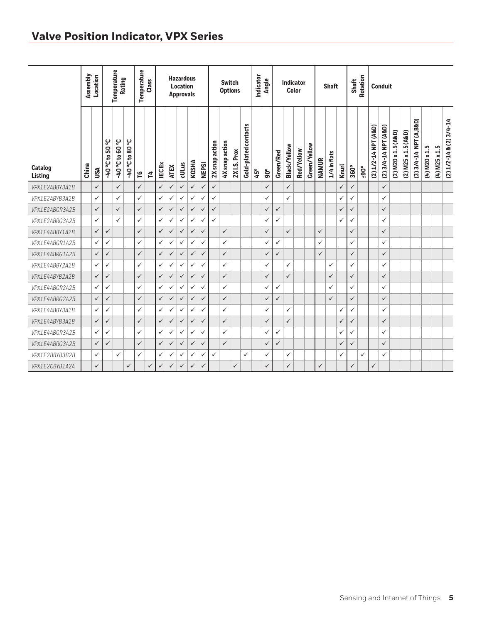|                           | Assembly | Location     |                      | Temperature<br>Rating  |                        | Temperature  | Class        |              |              | <b>Hazardous</b><br><b>Location</b><br><b>Approvals</b> |              |              |                |                | <b>Switch</b><br><b>Options</b> |                      | Indicator | Angle        |              |                     | Indicator<br>Color |              |              | <b>Shaft</b> |              | Shaft        | Rotation             |                      | <b>Conduit</b>       |                             |                     |                         |                 |                 |                               |
|---------------------------|----------|--------------|----------------------|------------------------|------------------------|--------------|--------------|--------------|--------------|---------------------------------------------------------|--------------|--------------|----------------|----------------|---------------------------------|----------------------|-----------|--------------|--------------|---------------------|--------------------|--------------|--------------|--------------|--------------|--------------|----------------------|----------------------|----------------------|-----------------------------|---------------------|-------------------------|-----------------|-----------------|-------------------------------|
| Catalog<br><b>Listing</b> | China    | USA          | <b>3.05 01 3.07-</b> | <b>J. 09 01 J. 07-</b> | <b>J. 08 01 J. 07-</b> | ဥ            | ざ            | <b>IECEX</b> | <b>ATEX</b>  | cULus                                                   | <b>KOSHA</b> | <b>NEPSI</b> | 2X snap action | 4X snap action | Prox<br>2X I.S.                 | Gold-plated contacts | 45°       | $90^\circ$   | Green/Red    | <b>Black/Yellow</b> | Red/Yellow         | Green/Yellow | <b>NAMUR</b> | 1/4 in flats | <b>Knurl</b> | 360°         | $\rm ^{+90^{\circ}}$ | (2) 1/2-14 NPT (A&D) | (2) 3/4-14 NPT (A&D) | x 1.5 (A&D)<br>$(2)$ M $20$ | (2) M25 x 1.5 (A&D) | (3) 3/4-14 NPT (A, B&D) | $(4)$ M20 x 1.5 | $(4)$ M25 x 1.5 | $(2) 1/2 - 14 & (2) 3/4 - 14$ |
| VPX1E2ABBY3A2B            |          | $\checkmark$ |                      | $\checkmark$           |                        | $\checkmark$ |              | $\checkmark$ | $\checkmark$ | $\checkmark$                                            | $\checkmark$ | $\checkmark$ | $\checkmark$   |                |                                 |                      |           | $\checkmark$ |              | $\checkmark$        |                    |              |              |              | $\checkmark$ | $\checkmark$ |                      |                      | $\checkmark$         |                             |                     |                         |                 |                 |                               |
| VPX1E2ABYB3A2B            |          | $\checkmark$ |                      | $\checkmark$           |                        | ✓            |              | $\checkmark$ | ✓            | $\checkmark$                                            | $\checkmark$ | ✓            | ✓              |                |                                 |                      |           | ✓            |              | ✓                   |                    |              |              |              | $\checkmark$ | ✓            |                      |                      | ✓                    |                             |                     |                         |                 |                 |                               |
| VPX1E2ABGR3A2B            |          | $\checkmark$ |                      | $\checkmark$           |                        | $\checkmark$ |              | ✓            | ✓            | $\checkmark$                                            | $\checkmark$ | ✓            | ✓              |                |                                 |                      |           | ✓            | ✓            |                     |                    |              |              |              | $\checkmark$ | $\checkmark$ |                      |                      | $\checkmark$         |                             |                     |                         |                 |                 |                               |
| VPX1E2ABRG3A2B            |          | $\checkmark$ |                      | $\checkmark$           |                        | $\checkmark$ |              | $\checkmark$ | ✓            | $\checkmark$                                            | $\checkmark$ | ✓            | ✓              |                |                                 |                      |           | ✓            | ✓            |                     |                    |              |              |              | ✓            | ✓            |                      |                      | $\checkmark$         |                             |                     |                         |                 |                 |                               |
| VPX1E4ABBY1A2B            |          | $\checkmark$ | $\checkmark$         |                        |                        | $\checkmark$ |              | $\checkmark$ | ✓            | $\checkmark$                                            | $\checkmark$ | $\checkmark$ |                | $\checkmark$   |                                 |                      |           | $\checkmark$ |              | ✓                   |                    |              | $\checkmark$ |              |              | $\checkmark$ |                      |                      | $\checkmark$         |                             |                     |                         |                 |                 |                               |
| VPX1E4ABGR1A2B            |          | $\checkmark$ | $\checkmark$         |                        |                        | ✓            |              | $\checkmark$ | $\checkmark$ | $\checkmark$                                            | $\checkmark$ | ✓            |                | $\checkmark$   |                                 |                      |           | ✓            | ✓            |                     |                    |              | $\checkmark$ |              |              | ✓            |                      |                      | $\checkmark$         |                             |                     |                         |                 |                 |                               |
| VPX1E4ABRG1A2B            |          | $\checkmark$ | $\checkmark$         |                        |                        | $\checkmark$ |              | $\checkmark$ | ✓            | $\checkmark$                                            | $\checkmark$ | $\checkmark$ |                | $\checkmark$   |                                 |                      |           | ✓            | ✓            |                     |                    |              | $\checkmark$ |              |              | $\checkmark$ |                      |                      | $\checkmark$         |                             |                     |                         |                 |                 |                               |
| VPX1E4ABBY2A2B            |          | $\checkmark$ | ✓                    |                        |                        | ✓            |              | $\checkmark$ | $\checkmark$ | $\checkmark$                                            | $\checkmark$ | ✓            |                | $\checkmark$   |                                 |                      |           | ✓            |              | ✓                   |                    |              |              | ✓            |              | ✓            |                      |                      | $\checkmark$         |                             |                     |                         |                 |                 |                               |
| VPX1E4ABYB2A2B            |          | $\checkmark$ | $\checkmark$         |                        |                        | $\checkmark$ |              | $\checkmark$ | ✓            | $\checkmark$                                            | $\checkmark$ | $\checkmark$ |                | $\checkmark$   |                                 |                      |           | $\checkmark$ |              | $\checkmark$        |                    |              |              | $\checkmark$ |              | $\checkmark$ |                      |                      | $\checkmark$         |                             |                     |                         |                 |                 |                               |
| VPX1E4ABGR2A2B            |          | $\checkmark$ | $\checkmark$         |                        |                        | $\checkmark$ |              | $\checkmark$ | $\checkmark$ | $\checkmark$                                            | $\checkmark$ | ✓            |                | $\checkmark$   |                                 |                      |           | $\checkmark$ | ✓            |                     |                    |              |              | ✓            |              | ✓            |                      |                      | $\checkmark$         |                             |                     |                         |                 |                 |                               |
| VPX1E4ABRG2A2B            |          | $\checkmark$ | $\checkmark$         |                        |                        | $\checkmark$ |              | $\checkmark$ | ✓            | $\checkmark$                                            | $\checkmark$ | $\checkmark$ |                | $\checkmark$   |                                 |                      |           | ✓            | $\checkmark$ |                     |                    |              |              | $\checkmark$ |              | $\checkmark$ |                      |                      | $\checkmark$         |                             |                     |                         |                 |                 |                               |
| VPX1E4ABBY3A2B            |          | $\checkmark$ | ✓                    |                        |                        | ✓            |              | $\checkmark$ | ✓            | $\checkmark$                                            | $\checkmark$ | ✓            |                | $\checkmark$   |                                 |                      |           | ✓            |              | ✓                   |                    |              |              |              | $\checkmark$ | ✓            |                      |                      | $\checkmark$         |                             |                     |                         |                 |                 |                               |
| VPX1E4ABYB3A2B            |          | $\checkmark$ | $\checkmark$         |                        |                        | $\checkmark$ |              | $\checkmark$ | ✓            | $\checkmark$                                            | $\checkmark$ | ✓            |                | $\checkmark$   |                                 |                      |           | ✓            |              | $\checkmark$        |                    |              |              |              | $\checkmark$ | $\checkmark$ |                      |                      | $\checkmark$         |                             |                     |                         |                 |                 |                               |
| VPX1E4ABGR3A2B            |          | $\checkmark$ | ✓                    |                        |                        | ✓            |              | $\checkmark$ | ✓            | $\checkmark$                                            | $\checkmark$ | ✓            |                | ✓              |                                 |                      |           | ✓            | ✓            |                     |                    |              |              |              | ✓            | ✓            |                      |                      | ✓                    |                             |                     |                         |                 |                 |                               |
| VPX1E4ABRG3A2B            |          | $\checkmark$ | $\checkmark$         |                        |                        | $\checkmark$ |              | ✓            | ✓            | $\checkmark$                                            | ✓            | $\checkmark$ |                | $\checkmark$   |                                 |                      |           | ✓            | ✓            |                     |                    |              |              |              | ✓            | ✓            |                      |                      | $\checkmark$         |                             |                     |                         |                 |                 |                               |
| VPX1E2BBYB3B2B            |          | $\checkmark$ |                      | $\checkmark$           |                        | ✓            |              | $\checkmark$ | $\checkmark$ | $\checkmark$                                            | $\checkmark$ | ✓            | $\checkmark$   |                |                                 | ✓                    |           | ✓            |              | ✓                   |                    |              |              |              | ✓            |              | $\checkmark$         |                      | $\checkmark$         |                             |                     |                         |                 |                 |                               |
| VPX1E2CBYB1A2A            |          | $\checkmark$ |                      |                        | $\checkmark$           |              | $\checkmark$ | $\checkmark$ | ✓            | $\checkmark$                                            | $\checkmark$ | $\checkmark$ |                |                | $\checkmark$                    |                      |           | $\checkmark$ |              | $\checkmark$        |                    |              | $\checkmark$ |              |              | $\checkmark$ |                      | $\checkmark$         |                      |                             |                     |                         |                 |                 |                               |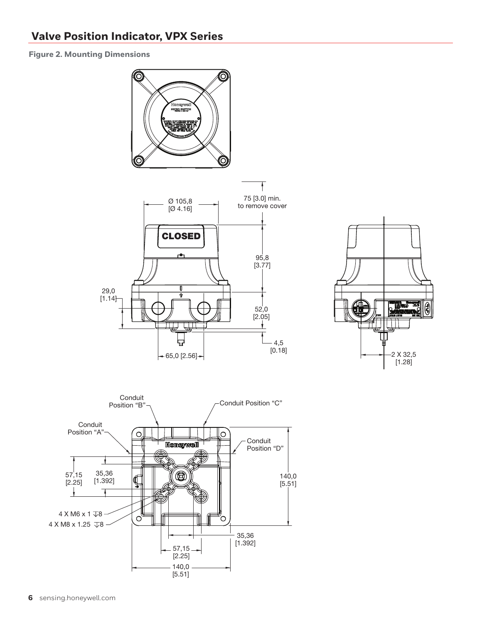**Figure 2. Mounting Dimensions**



2 X 32,5<br>[1.28]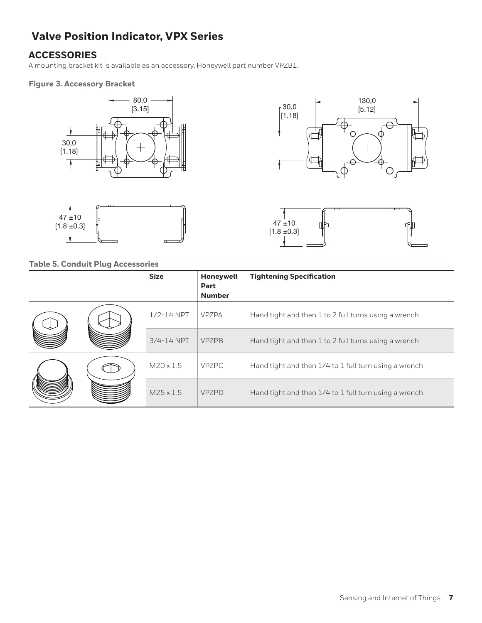### **ACCESSORIES**

A mounting bracket kit is available as an accessory, Honeywell part number VPZB1.

#### **Figure 3. Accessory Bracket**





#### **Table 5. Conduit Plug Accessories**





|  | <b>Size</b>      | Honeywell<br>Part<br><b>Number</b> | <b>Tightening Specification</b>                       |
|--|------------------|------------------------------------|-------------------------------------------------------|
|  | $1/2 - 14$ NPT   | <b>VPZPA</b>                       | Hand tight and then 1 to 2 full turns using a wrench  |
|  | $3/4 - 14$ NPT   | <b>VPZPB</b>                       | Hand tight and then 1 to 2 full turns using a wrench  |
|  | $M20 \times 1.5$ | <b>VPZPC</b>                       | Hand tight and then 1/4 to 1 full turn using a wrench |
|  | $M25 \times 1.5$ | <b>VPZPD</b>                       | Hand tight and then 1/4 to 1 full turn using a wrench |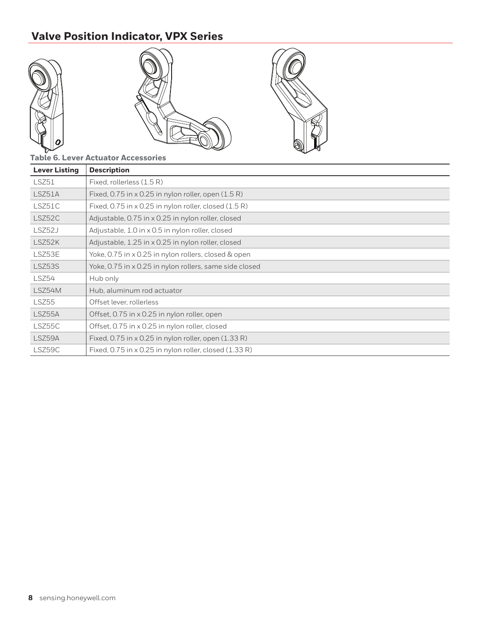

### **Table 6. Lever Actuator Accessories**

| <b>Lever Listing</b> | <b>Description</b>                                                   |
|----------------------|----------------------------------------------------------------------|
| LSZ51                | Fixed, rollerless (1.5 R)                                            |
| LSZ51A               | Fixed, 0.75 in $\times$ 0.25 in nylon roller, open $(1.5 \text{ R})$ |
| LSZ51C               | Fixed, 0.75 in x 0.25 in nylon roller, closed (1.5 R)                |
| LSZ52C               | Adjustable, 0.75 in x 0.25 in nylon roller, closed                   |
| LSZ52J               | Adjustable, 1.0 in x 0.5 in nylon roller, closed                     |
| LSZ52K               | Adjustable, 1.25 in x 0.25 in nylon roller, closed                   |
| LSZ53E               | Yoke, 0.75 in x 0.25 in nylon rollers, closed & open                 |
| LSZ53S               | Yoke, 0.75 in x 0.25 in nylon rollers, same side closed              |
| LSZ54                | Hub only                                                             |
| LSZ54M               | Hub, aluminum rod actuator                                           |
| LSZ55                | Offset lever, rollerless                                             |
| LSZ55A               | Offset, 0.75 in x 0.25 in nylon roller, open                         |
| LSZ55C               | Offset, 0.75 in x 0.25 in nylon roller, closed                       |
| LSZ59A               | Fixed, $0.75$ in x 0.25 in nylon roller, open $(1.33 \text{ R})$     |
| LSZ59C               | Fixed, 0.75 in x 0.25 in nylon roller, closed (1.33 R)               |